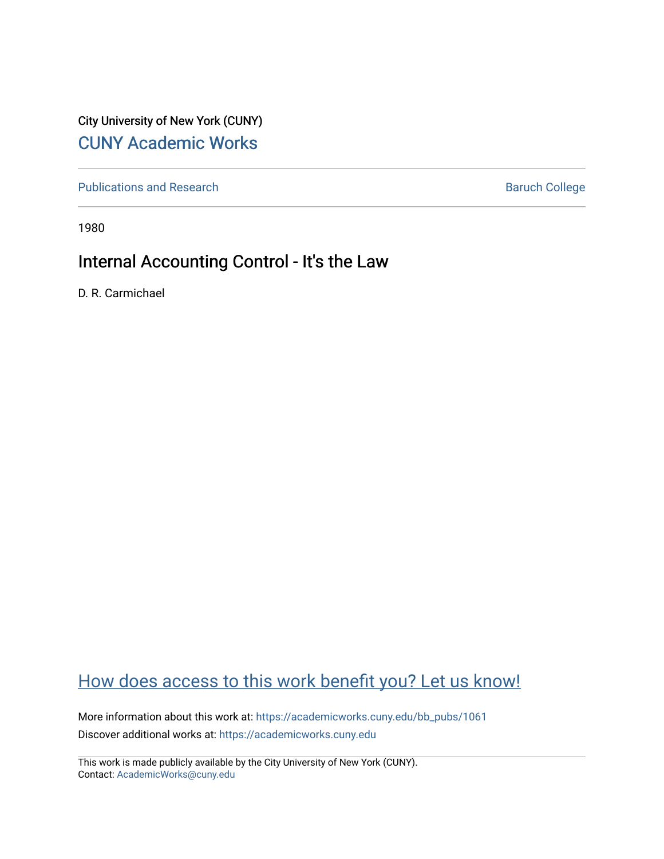City University of New York (CUNY) [CUNY Academic Works](https://academicworks.cuny.edu/) 

[Publications and Research](https://academicworks.cuny.edu/bb_pubs) **Baruch College** Baruch College

1980

## Internal Accounting Control - It's the Law

D. R. Carmichael

# [How does access to this work benefit you? Let us know!](http://ols.cuny.edu/academicworks/?ref=https://academicworks.cuny.edu/bb_pubs/1061)

More information about this work at: [https://academicworks.cuny.edu/bb\\_pubs/1061](https://academicworks.cuny.edu/bb_pubs/1061) Discover additional works at: [https://academicworks.cuny.edu](https://academicworks.cuny.edu/?)

This work is made publicly available by the City University of New York (CUNY). Contact: [AcademicWorks@cuny.edu](mailto:AcademicWorks@cuny.edu)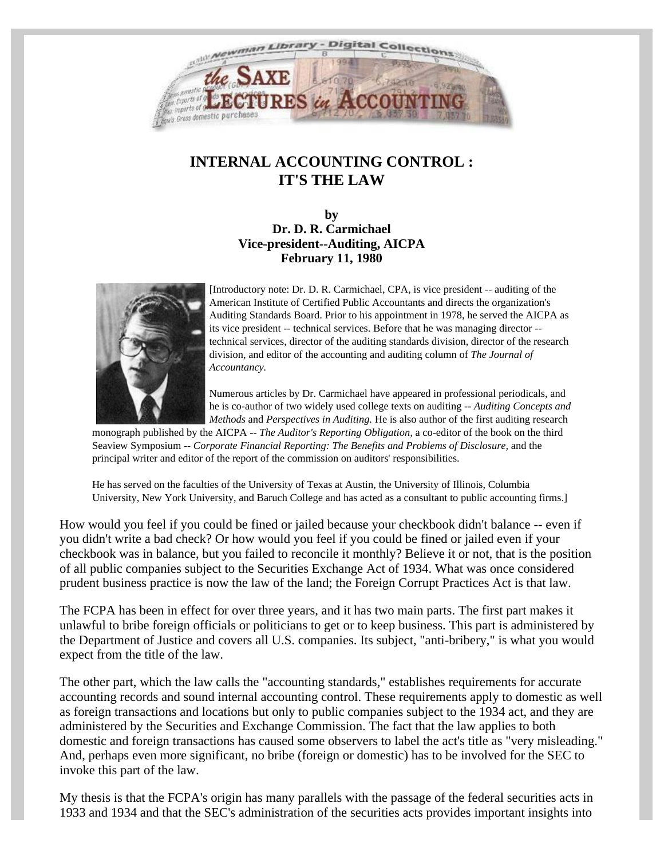<span id="page-1-0"></span>

## **INTERNAL ACCOUNTING CONTROL : IT'S THE LAW**

**by Dr. D. R. Carmichael Vice-president--Auditing, AICPA February 11, 1980**



[Introductory note: Dr. D. R. Carmichael, CPA, is vice president -- auditing of the American Institute of Certified Public Accountants and directs the organization's Auditing Standards Board. Prior to his appointment in 1978, he served the AICPA as its vice president -- technical services. Before that he was managing director - technical services, director of the auditing standards division, director of the research division, and editor of the accounting and auditing column of *The Journal of Accountancy.*

Numerous articles by Dr. Carmichael have appeared in professional periodicals, and he is co-author of two widely used college texts on auditing -- *Auditing Concepts and Methods* and *Perspectives in Auditing.* He is also author of the first auditing research

monograph published by the AICPA -- *The Auditor's Reporting Obligation,* a co-editor of the book on the third Seaview Symposium -- *Corporate Financial Reporting: The Benefits and Problems of Disclosure,* and the principal writer and editor of the report of the commission on auditors' responsibilities.

He has served on the faculties of the University of Texas at Austin, the University of Illinois, Columbia University, New York University, and Baruch College and has acted as a consultant to public accounting firms.]

How would you feel if you could be fined or jailed because your checkbook didn't balance -- even if you didn't write a bad check? Or how would you feel if you could be fined or jailed even if your checkbook was in balance, but you failed to reconcile it monthly? Believe it or not, that is the position of all public companies subject to the Securities Exchange Act of 1934. What was once considered prudent business practice is now the law of the land; the Foreign Corrupt Practices Act is that law.

The FCPA has been in effect for over three years, and it has two main parts. The first part makes it unlawful to bribe foreign officials or politicians to get or to keep business. This part is administered by the Department of Justice and covers all U.S. companies. Its subject, "anti-bribery," is what you would expect from the title of the law.

The other part, which the law calls the "accounting standards," establishes requirements for accurate accounting records and sound internal accounting control. These requirements apply to domestic as well as foreign transactions and locations but only to public companies subject to the 1934 act, and they are administered by the Securities and Exchange Commission. The fact that the law applies to both domestic and foreign transactions has caused some observers to label the act's title as "very misleading." And, perhaps even more significant, no bribe (foreign or domestic) has to be involved for the SEC to invoke this part of the law.

My thesis is that the FCPA's origin has many parallels with the passage of the federal securities acts in 1933 and 1934 and that the SEC's administration of the securities acts provides important insights into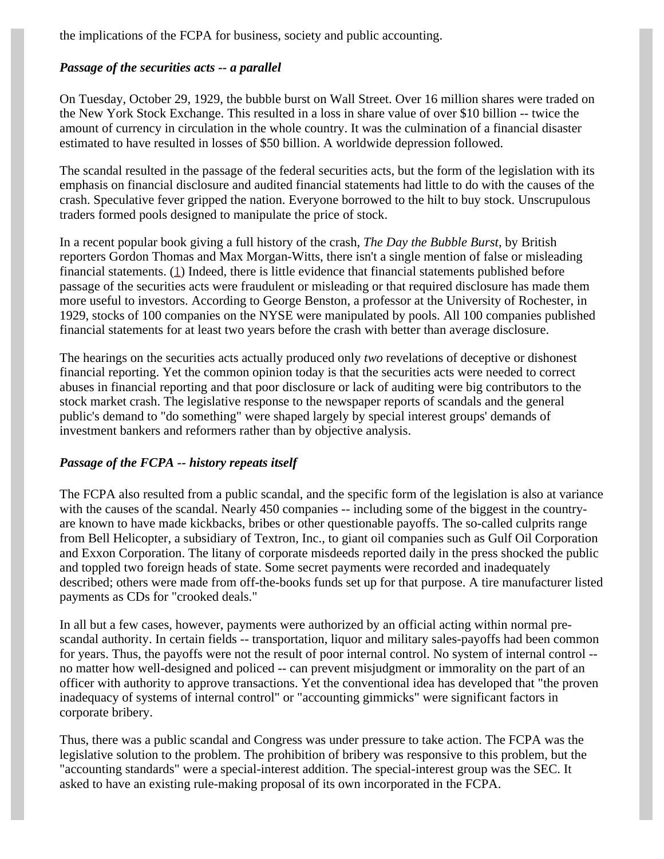the implications of the FCPA for business, society and public accounting.

## *Passage of the securities acts -- a parallel*

On Tuesday, October 29, 1929, the bubble burst on Wall Street. Over 16 million shares were traded on the New York Stock Exchange. This resulted in a loss in share value of over \$10 billion -- twice the amount of currency in circulation in the whole country. It was the culmination of a financial disaster estimated to have resulted in losses of \$50 billion. A worldwide depression followed.

The scandal resulted in the passage of the federal securities acts, but the form of the legislation with its emphasis on financial disclosure and audited financial statements had little to do with the causes of the crash. Speculative fever gripped the nation. Everyone borrowed to the hilt to buy stock. Unscrupulous traders formed pools designed to manipulate the price of stock.

<span id="page-2-0"></span>In a recent popular book giving a full history of the crash, *The Day the Bubble Burst*, by British reporters Gordon Thomas and Max Morgan-Witts, there isn't a single mention of false or misleading financial statements. [\(1](#page-7-0)) Indeed, there is little evidence that financial statements published before passage of the securities acts were fraudulent or misleading or that required disclosure has made them more useful to investors. According to George Benston, a professor at the University of Rochester, in 1929, stocks of 100 companies on the NYSE were manipulated by pools. All 100 companies published financial statements for at least two years before the crash with better than average disclosure.

The hearings on the securities acts actually produced only *two* revelations of deceptive or dishonest financial reporting. Yet the common opinion today is that the securities acts were needed to correct abuses in financial reporting and that poor disclosure or lack of auditing were big contributors to the stock market crash. The legislative response to the newspaper reports of scandals and the general public's demand to "do something" were shaped largely by special interest groups' demands of investment bankers and reformers rather than by objective analysis.

## *Passage of the FCPA -- history repeats itself*

The FCPA also resulted from a public scandal, and the specific form of the legislation is also at variance with the causes of the scandal. Nearly 450 companies -- including some of the biggest in the countryare known to have made kickbacks, bribes or other questionable payoffs. The so-called culprits range from Bell Helicopter, a subsidiary of Textron, Inc., to giant oil companies such as Gulf Oil Corporation and Exxon Corporation. The litany of corporate misdeeds reported daily in the press shocked the public and toppled two foreign heads of state. Some secret payments were recorded and inadequately described; others were made from off-the-books funds set up for that purpose. A tire manufacturer listed payments as CDs for "crooked deals."

In all but a few cases, however, payments were authorized by an official acting within normal prescandal authority. In certain fields -- transportation, liquor and military sales-payoffs had been common for years. Thus, the payoffs were not the result of poor internal control. No system of internal control - no matter how well-designed and policed -- can prevent misjudgment or immorality on the part of an officer with authority to approve transactions. Yet the conventional idea has developed that "the proven inadequacy of systems of internal control" or "accounting gimmicks" were significant factors in corporate bribery.

Thus, there was a public scandal and Congress was under pressure to take action. The FCPA was the legislative solution to the problem. The prohibition of bribery was responsive to this problem, but the "accounting standards" were a special-interest addition. The special-interest group was the SEC. It asked to have an existing rule-making proposal of its own incorporated in the FCPA.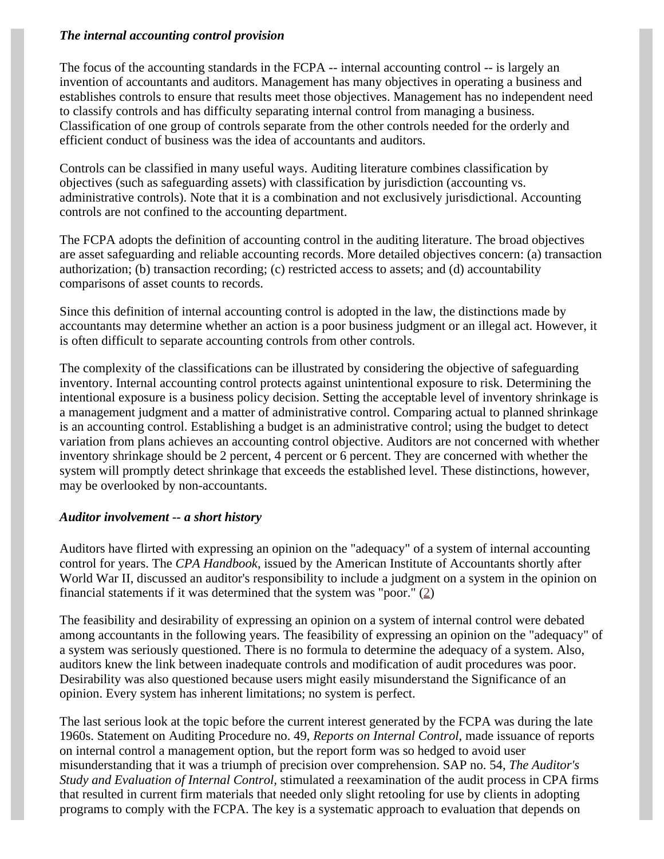## *The internal accounting control provision*

The focus of the accounting standards in the FCPA -- internal accounting control -- is largely an invention of accountants and auditors. Management has many objectives in operating a business and establishes controls to ensure that results meet those objectives. Management has no independent need to classify controls and has difficulty separating internal control from managing a business. Classification of one group of controls separate from the other controls needed for the orderly and efficient conduct of business was the idea of accountants and auditors.

Controls can be classified in many useful ways. Auditing literature combines classification by objectives (such as safeguarding assets) with classification by jurisdiction (accounting vs. administrative controls). Note that it is a combination and not exclusively jurisdictional. Accounting controls are not confined to the accounting department.

The FCPA adopts the definition of accounting control in the auditing literature. The broad objectives are asset safeguarding and reliable accounting records. More detailed objectives concern: (a) transaction authorization; (b) transaction recording; (c) restricted access to assets; and (d) accountability comparisons of asset counts to records.

Since this definition of internal accounting control is adopted in the law, the distinctions made by accountants may determine whether an action is a poor business judgment or an illegal act. However, it is often difficult to separate accounting controls from other controls.

The complexity of the classifications can be illustrated by considering the objective of safeguarding inventory. Internal accounting control protects against unintentional exposure to risk. Determining the intentional exposure is a business policy decision. Setting the acceptable level of inventory shrinkage is a management judgment and a matter of administrative control. Comparing actual to planned shrinkage is an accounting control. Establishing a budget is an administrative control; using the budget to detect variation from plans achieves an accounting control objective. Auditors are not concerned with whether inventory shrinkage should be 2 percent, 4 percent or 6 percent. They are concerned with whether the system will promptly detect shrinkage that exceeds the established level. These distinctions, however, may be overlooked by non-accountants.

#### *Auditor involvement -- a short history*

Auditors have flirted with expressing an opinion on the "adequacy" of a system of internal accounting control for years. The *CPA Handbook*, issued by the American Institute of Accountants shortly after World War II, discussed an auditor's responsibility to include a judgment on a system in the opinion on financial statements if it was determined that the system was "poor." [\(2](#page-7-1))

The feasibility and desirability of expressing an opinion on a system of internal control were debated among accountants in the following years. The feasibility of expressing an opinion on the "adequacy" of a system was seriously questioned. There is no formula to determine the adequacy of a system. Also, auditors knew the link between inadequate controls and modification of audit procedures was poor. Desirability was also questioned because users might easily misunderstand the Significance of an opinion. Every system has inherent limitations; no system is perfect.

The last serious look at the topic before the current interest generated by the FCPA was during the late 1960s. Statement on Auditing Procedure no. 49, *Reports on Internal Control,* made issuance of reports on internal control a management option, but the report form was so hedged to avoid user misunderstanding that it was a triumph of precision over comprehension. SAP no. 54, *The Auditor's Study and Evaluation of Internal Control,* stimulated a reexamination of the audit process in CPA firms that resulted in current firm materials that needed only slight retooling for use by clients in adopting programs to comply with the FCPA. The key is a systematic approach to evaluation that depends on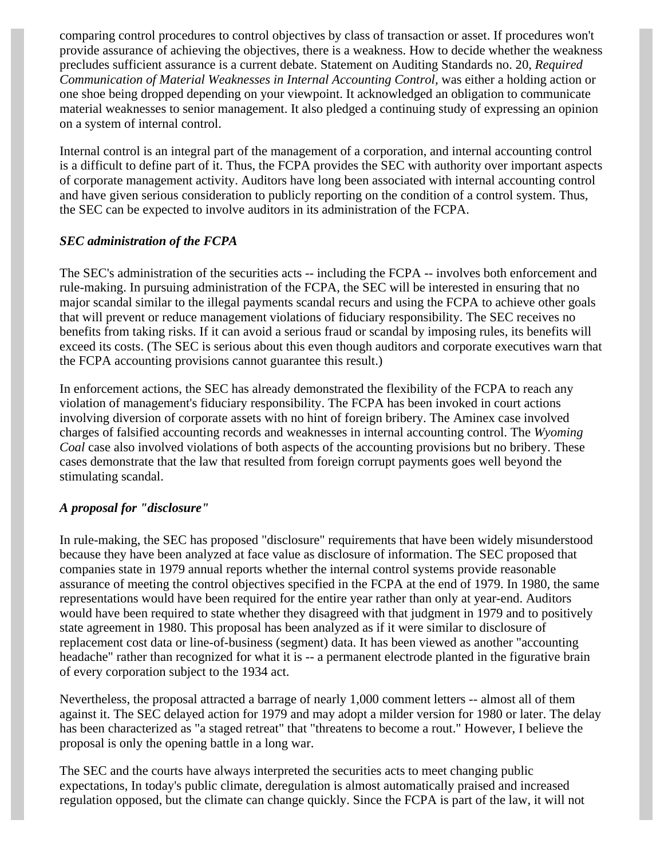comparing control procedures to control objectives by class of transaction or asset. If procedures won't provide assurance of achieving the objectives, there is a weakness. How to decide whether the weakness precludes sufficient assurance is a current debate. Statement on Auditing Standards no. 20, *Required Communication of Material Weaknesses in Internal Accounting Control,* was either a holding action or one shoe being dropped depending on your viewpoint. It acknowledged an obligation to communicate material weaknesses to senior management. It also pledged a continuing study of expressing an opinion on a system of internal control.

Internal control is an integral part of the management of a corporation, and internal accounting control is a difficult to define part of it. Thus, the FCPA provides the SEC with authority over important aspects of corporate management activity. Auditors have long been associated with internal accounting control and have given serious consideration to publicly reporting on the condition of a control system. Thus, the SEC can be expected to involve auditors in its administration of the FCPA.

## *SEC administration of the FCPA*

The SEC's administration of the securities acts -- including the FCPA -- involves both enforcement and rule-making. In pursuing administration of the FCPA, the SEC will be interested in ensuring that no major scandal similar to the illegal payments scandal recurs and using the FCPA to achieve other goals that will prevent or reduce management violations of fiduciary responsibility. The SEC receives no benefits from taking risks. If it can avoid a serious fraud or scandal by imposing rules, its benefits will exceed its costs. (The SEC is serious about this even though auditors and corporate executives warn that the FCPA accounting provisions cannot guarantee this result.)

In enforcement actions, the SEC has already demonstrated the flexibility of the FCPA to reach any violation of management's fiduciary responsibility. The FCPA has been invoked in court actions involving diversion of corporate assets with no hint of foreign bribery. The Aminex case involved charges of falsified accounting records and weaknesses in internal accounting control. The *Wyoming Coal* case also involved violations of both aspects of the accounting provisions but no bribery. These cases demonstrate that the law that resulted from foreign corrupt payments goes well beyond the stimulating scandal.

## *A proposal for "disclosure"*

In rule-making, the SEC has proposed "disclosure" requirements that have been widely misunderstood because they have been analyzed at face value as disclosure of information. The SEC proposed that companies state in 1979 annual reports whether the internal control systems provide reasonable assurance of meeting the control objectives specified in the FCPA at the end of 1979. In 1980, the same representations would have been required for the entire year rather than only at year-end. Auditors would have been required to state whether they disagreed with that judgment in 1979 and to positively state agreement in 1980. This proposal has been analyzed as if it were similar to disclosure of replacement cost data or line-of-business (segment) data. It has been viewed as another "accounting headache" rather than recognized for what it is -- a permanent electrode planted in the figurative brain of every corporation subject to the 1934 act.

Nevertheless, the proposal attracted a barrage of nearly 1,000 comment letters -- almost all of them against it. The SEC delayed action for 1979 and may adopt a milder version for 1980 or later. The delay has been characterized as "a staged retreat" that "threatens to become a rout." However, I believe the proposal is only the opening battle in a long war.

The SEC and the courts have always interpreted the securities acts to meet changing public expectations, In today's public climate, deregulation is almost automatically praised and increased regulation opposed, but the climate can change quickly. Since the FCPA is part of the law, it will not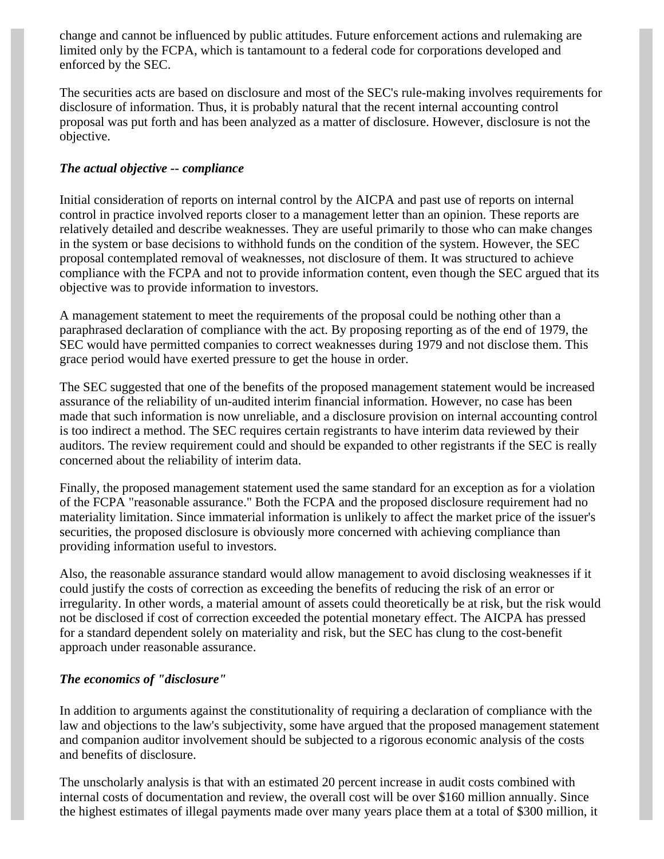change and cannot be influenced by public attitudes. Future enforcement actions and rulemaking are limited only by the FCPA, which is tantamount to a federal code for corporations developed and enforced by the SEC.

The securities acts are based on disclosure and most of the SEC's rule-making involves requirements for disclosure of information. Thus, it is probably natural that the recent internal accounting control proposal was put forth and has been analyzed as a matter of disclosure. However, disclosure is not the objective.

## *The actual objective -- compliance*

Initial consideration of reports on internal control by the AICPA and past use of reports on internal control in practice involved reports closer to a management letter than an opinion. These reports are relatively detailed and describe weaknesses. They are useful primarily to those who can make changes in the system or base decisions to withhold funds on the condition of the system. However, the SEC proposal contemplated removal of weaknesses, not disclosure of them. It was structured to achieve compliance with the FCPA and not to provide information content, even though the SEC argued that its objective was to provide information to investors.

A management statement to meet the requirements of the proposal could be nothing other than a paraphrased declaration of compliance with the act. By proposing reporting as of the end of 1979, the SEC would have permitted companies to correct weaknesses during 1979 and not disclose them. This grace period would have exerted pressure to get the house in order.

The SEC suggested that one of the benefits of the proposed management statement would be increased assurance of the reliability of un-audited interim financial information. However, no case has been made that such information is now unreliable, and a disclosure provision on internal accounting control is too indirect a method. The SEC requires certain registrants to have interim data reviewed by their auditors. The review requirement could and should be expanded to other registrants if the SEC is really concerned about the reliability of interim data.

Finally, the proposed management statement used the same standard for an exception as for a violation of the FCPA "reasonable assurance." Both the FCPA and the proposed disclosure requirement had no materiality limitation. Since immaterial information is unlikely to affect the market price of the issuer's securities, the proposed disclosure is obviously more concerned with achieving compliance than providing information useful to investors.

Also, the reasonable assurance standard would allow management to avoid disclosing weaknesses if it could justify the costs of correction as exceeding the benefits of reducing the risk of an error or irregularity. In other words, a material amount of assets could theoretically be at risk, but the risk would not be disclosed if cost of correction exceeded the potential monetary effect. The AICPA has pressed for a standard dependent solely on materiality and risk, but the SEC has clung to the cost-benefit approach under reasonable assurance.

## *The economics of "disclosure"*

In addition to arguments against the constitutionality of requiring a declaration of compliance with the law and objections to the law's subjectivity, some have argued that the proposed management statement and companion auditor involvement should be subjected to a rigorous economic analysis of the costs and benefits of disclosure.

The unscholarly analysis is that with an estimated 20 percent increase in audit costs combined with internal costs of documentation and review, the overall cost will be over \$160 million annually. Since the highest estimates of illegal payments made over many years place them at a total of \$300 million, it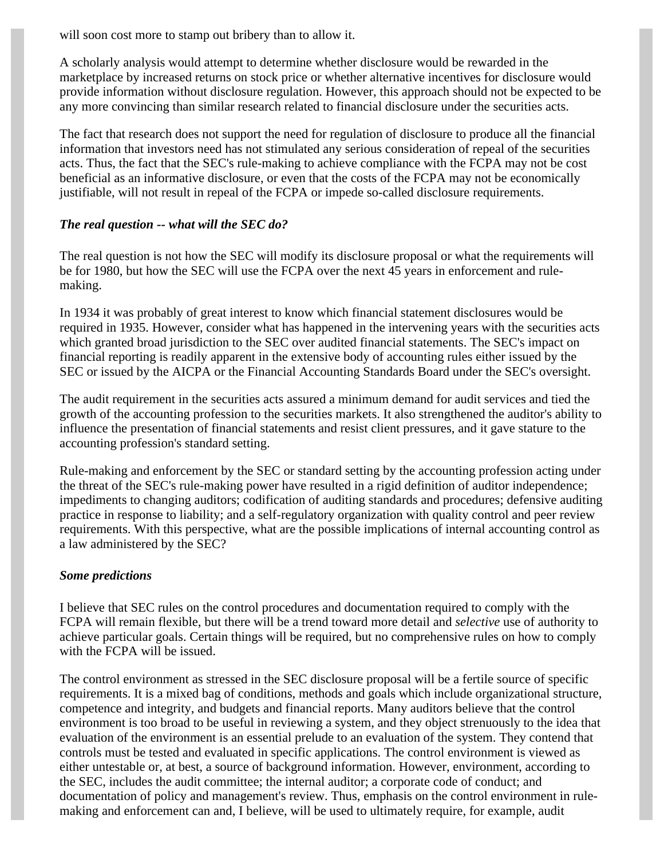will soon cost more to stamp out bribery than to allow it.

A scholarly analysis would attempt to determine whether disclosure would be rewarded in the marketplace by increased returns on stock price or whether alternative incentives for disclosure would provide information without disclosure regulation. However, this approach should not be expected to be any more convincing than similar research related to financial disclosure under the securities acts.

The fact that research does not support the need for regulation of disclosure to produce all the financial information that investors need has not stimulated any serious consideration of repeal of the securities acts. Thus, the fact that the SEC's rule-making to achieve compliance with the FCPA may not be cost beneficial as an informative disclosure, or even that the costs of the FCPA may not be economically justifiable, will not result in repeal of the FCPA or impede so-called disclosure requirements.

#### *The real question -- what will the SEC do?*

The real question is not how the SEC will modify its disclosure proposal or what the requirements will be for 1980, but how the SEC will use the FCPA over the next 45 years in enforcement and rulemaking.

In 1934 it was probably of great interest to know which financial statement disclosures would be required in 1935. However, consider what has happened in the intervening years with the securities acts which granted broad jurisdiction to the SEC over audited financial statements. The SEC's impact on financial reporting is readily apparent in the extensive body of accounting rules either issued by the SEC or issued by the AICPA or the Financial Accounting Standards Board under the SEC's oversight.

The audit requirement in the securities acts assured a minimum demand for audit services and tied the growth of the accounting profession to the securities markets. It also strengthened the auditor's ability to influence the presentation of financial statements and resist client pressures, and it gave stature to the accounting profession's standard setting.

Rule-making and enforcement by the SEC or standard setting by the accounting profession acting under the threat of the SEC's rule-making power have resulted in a rigid definition of auditor independence; impediments to changing auditors; codification of auditing standards and procedures; defensive auditing practice in response to liability; and a self-regulatory organization with quality control and peer review requirements. With this perspective, what are the possible implications of internal accounting control as a law administered by the SEC?

#### *Some predictions*

I believe that SEC rules on the control procedures and documentation required to comply with the FCPA will remain flexible, but there will be a trend toward more detail and *selective* use of authority to achieve particular goals. Certain things will be required, but no comprehensive rules on how to comply with the FCPA will be issued.

The control environment as stressed in the SEC disclosure proposal will be a fertile source of specific requirements. It is a mixed bag of conditions, methods and goals which include organizational structure, competence and integrity, and budgets and financial reports. Many auditors believe that the control environment is too broad to be useful in reviewing a system, and they object strenuously to the idea that evaluation of the environment is an essential prelude to an evaluation of the system. They contend that controls must be tested and evaluated in specific applications. The control environment is viewed as either untestable or, at best, a source of background information. However, environment, according to the SEC, includes the audit committee; the internal auditor; a corporate code of conduct; and documentation of policy and management's review. Thus, emphasis on the control environment in rulemaking and enforcement can and, I believe, will be used to ultimately require, for example, audit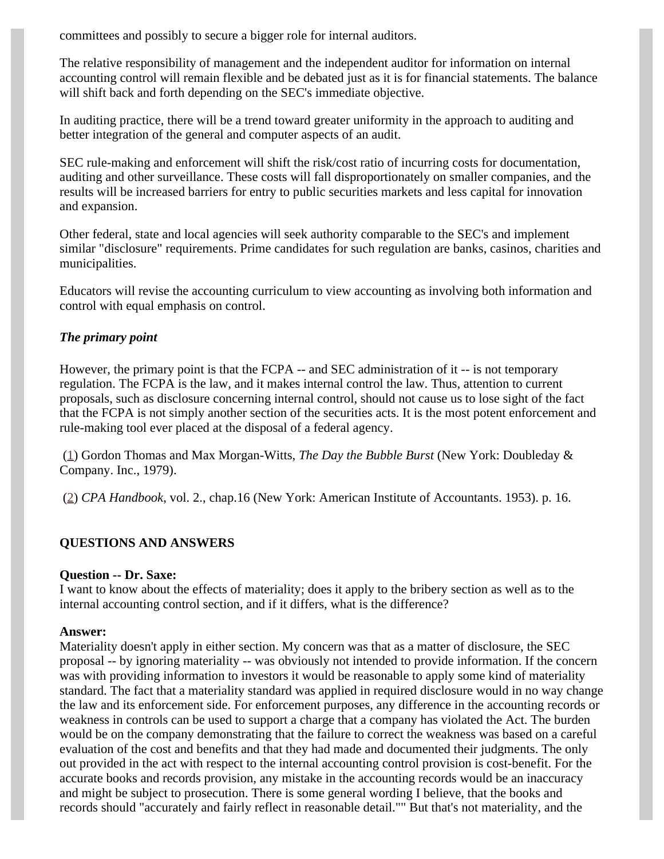committees and possibly to secure a bigger role for internal auditors.

The relative responsibility of management and the independent auditor for information on internal accounting control will remain flexible and be debated just as it is for financial statements. The balance will shift back and forth depending on the SEC's immediate objective.

In auditing practice, there will be a trend toward greater uniformity in the approach to auditing and better integration of the general and computer aspects of an audit.

SEC rule-making and enforcement will shift the risk/cost ratio of incurring costs for documentation, auditing and other surveillance. These costs will fall disproportionately on smaller companies, and the results will be increased barriers for entry to public securities markets and less capital for innovation and expansion.

Other federal, state and local agencies will seek authority comparable to the SEC's and implement similar "disclosure" requirements. Prime candidates for such regulation are banks, casinos, charities and municipalities.

Educators will revise the accounting curriculum to view accounting as involving both information and control with equal emphasis on control.

## *The primary point*

However, the primary point is that the FCPA -- and SEC administration of it -- is not temporary regulation. The FCPA is the law, and it makes internal control the law. Thus, attention to current proposals, such as disclosure concerning internal control, should not cause us to lose sight of the fact that the FCPA is not simply another section of the securities acts. It is the most potent enforcement and rule-making tool ever placed at the disposal of a federal agency.

<span id="page-7-0"></span> ([1\)](#page-2-0) Gordon Thomas and Max Morgan-Witts, *The Day the Bubble Burst* (New York: Doubleday & Company. Inc., 1979).

<span id="page-7-1"></span>([2\)](#page-1-0) *CPA Handbook*, vol. 2., chap.16 (New York: American Institute of Accountants. 1953). p. 16.

## **QUESTIONS AND ANSWERS**

#### **Question -- Dr. Saxe:**

I want to know about the effects of materiality; does it apply to the bribery section as well as to the internal accounting control section, and if it differs, what is the difference?

#### **Answer:**

Materiality doesn't apply in either section. My concern was that as a matter of disclosure, the SEC proposal -- by ignoring materiality -- was obviously not intended to provide information. If the concern was with providing information to investors it would be reasonable to apply some kind of materiality standard. The fact that a materiality standard was applied in required disclosure would in no way change the law and its enforcement side. For enforcement purposes, any difference in the accounting records or weakness in controls can be used to support a charge that a company has violated the Act. The burden would be on the company demonstrating that the failure to correct the weakness was based on a careful evaluation of the cost and benefits and that they had made and documented their judgments. The only out provided in the act with respect to the internal accounting control provision is cost-benefit. For the accurate books and records provision, any mistake in the accounting records would be an inaccuracy and might be subject to prosecution. There is some general wording I believe, that the books and records should "accurately and fairly reflect in reasonable detail."" But that's not materiality, and the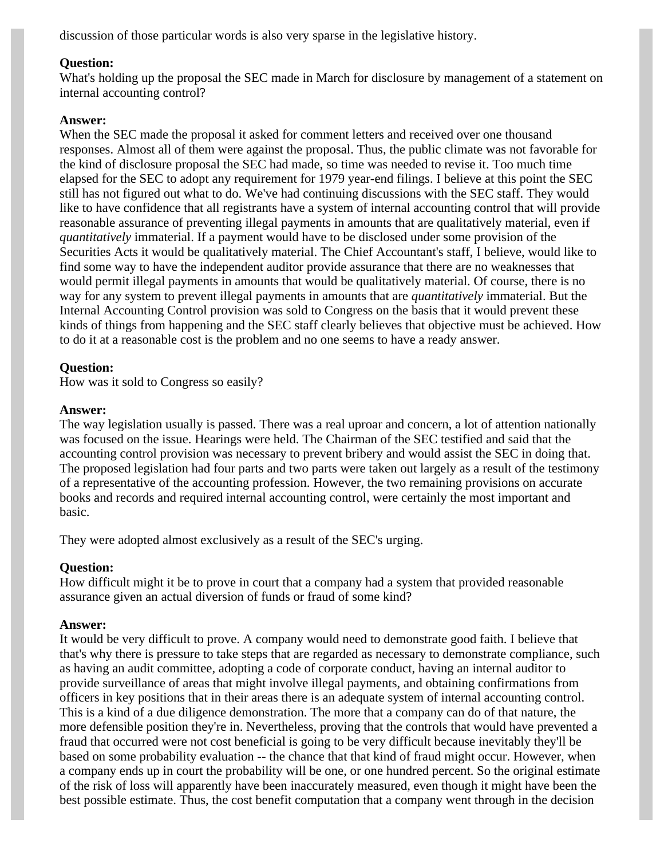discussion of those particular words is also very sparse in the legislative history.

## **Question:**

What's holding up the proposal the SEC made in March for disclosure by management of a statement on internal accounting control?

#### **Answer:**

When the SEC made the proposal it asked for comment letters and received over one thousand responses. Almost all of them were against the proposal. Thus, the public climate was not favorable for the kind of disclosure proposal the SEC had made, so time was needed to revise it. Too much time elapsed for the SEC to adopt any requirement for 1979 year-end filings. I believe at this point the SEC still has not figured out what to do. We've had continuing discussions with the SEC staff. They would like to have confidence that all registrants have a system of internal accounting control that will provide reasonable assurance of preventing illegal payments in amounts that are qualitatively material, even if *quantitatively* immaterial. If a payment would have to be disclosed under some provision of the Securities Acts it would be qualitatively material. The Chief Accountant's staff, I believe, would like to find some way to have the independent auditor provide assurance that there are no weaknesses that would permit illegal payments in amounts that would be qualitatively material. Of course, there is no way for any system to prevent illegal payments in amounts that are *quantitatively* immaterial. But the Internal Accounting Control provision was sold to Congress on the basis that it would prevent these kinds of things from happening and the SEC staff clearly believes that objective must be achieved. How to do it at a reasonable cost is the problem and no one seems to have a ready answer.

## **Question:**

How was it sold to Congress so easily?

## **Answer:**

The way legislation usually is passed. There was a real uproar and concern, a lot of attention nationally was focused on the issue. Hearings were held. The Chairman of the SEC testified and said that the accounting control provision was necessary to prevent bribery and would assist the SEC in doing that. The proposed legislation had four parts and two parts were taken out largely as a result of the testimony of a representative of the accounting profession. However, the two remaining provisions on accurate books and records and required internal accounting control, were certainly the most important and basic.

They were adopted almost exclusively as a result of the SEC's urging.

## **Question:**

How difficult might it be to prove in court that a company had a system that provided reasonable assurance given an actual diversion of funds or fraud of some kind?

## **Answer:**

It would be very difficult to prove. A company would need to demonstrate good faith. I believe that that's why there is pressure to take steps that are regarded as necessary to demonstrate compliance, such as having an audit committee, adopting a code of corporate conduct, having an internal auditor to provide surveillance of areas that might involve illegal payments, and obtaining confirmations from officers in key positions that in their areas there is an adequate system of internal accounting control. This is a kind of a due diligence demonstration. The more that a company can do of that nature, the more defensible position they're in. Nevertheless, proving that the controls that would have prevented a fraud that occurred were not cost beneficial is going to be very difficult because inevitably they'll be based on some probability evaluation -- the chance that that kind of fraud might occur. However, when a company ends up in court the probability will be one, or one hundred percent. So the original estimate of the risk of loss will apparently have been inaccurately measured, even though it might have been the best possible estimate. Thus, the cost benefit computation that a company went through in the decision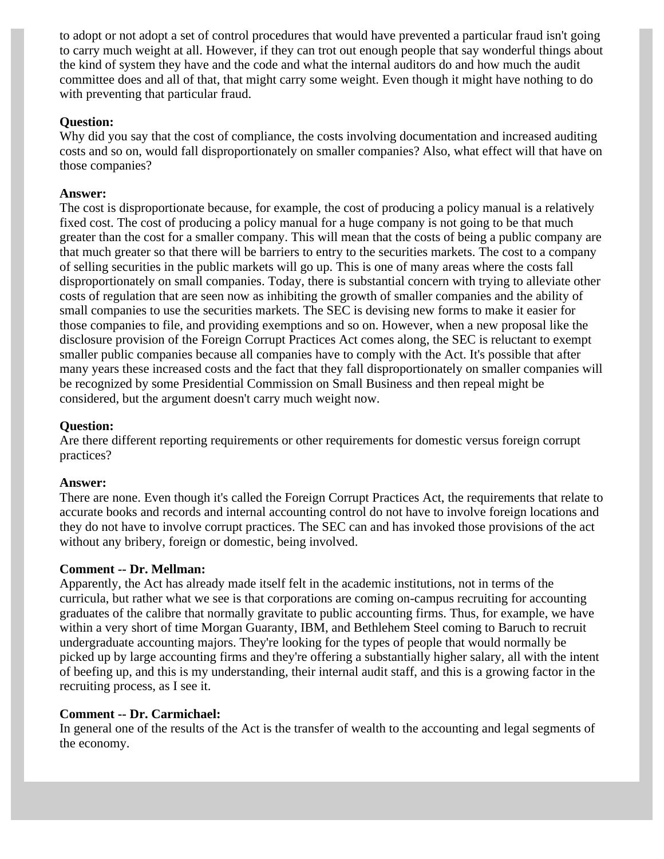to adopt or not adopt a set of control procedures that would have prevented a particular fraud isn't going to carry much weight at all. However, if they can trot out enough people that say wonderful things about the kind of system they have and the code and what the internal auditors do and how much the audit committee does and all of that, that might carry some weight. Even though it might have nothing to do with preventing that particular fraud.

## **Question:**

Why did you say that the cost of compliance, the costs involving documentation and increased auditing costs and so on, would fall disproportionately on smaller companies? Also, what effect will that have on those companies?

## **Answer:**

The cost is disproportionate because, for example, the cost of producing a policy manual is a relatively fixed cost. The cost of producing a policy manual for a huge company is not going to be that much greater than the cost for a smaller company. This will mean that the costs of being a public company are that much greater so that there will be barriers to entry to the securities markets. The cost to a company of selling securities in the public markets will go up. This is one of many areas where the costs fall disproportionately on small companies. Today, there is substantial concern with trying to alleviate other costs of regulation that are seen now as inhibiting the growth of smaller companies and the ability of small companies to use the securities markets. The SEC is devising new forms to make it easier for those companies to file, and providing exemptions and so on. However, when a new proposal like the disclosure provision of the Foreign Corrupt Practices Act comes along, the SEC is reluctant to exempt smaller public companies because all companies have to comply with the Act. It's possible that after many years these increased costs and the fact that they fall disproportionately on smaller companies will be recognized by some Presidential Commission on Small Business and then repeal might be considered, but the argument doesn't carry much weight now.

## **Question:**

Are there different reporting requirements or other requirements for domestic versus foreign corrupt practices?

#### **Answer:**

There are none. Even though it's called the Foreign Corrupt Practices Act, the requirements that relate to accurate books and records and internal accounting control do not have to involve foreign locations and they do not have to involve corrupt practices. The SEC can and has invoked those provisions of the act without any bribery, foreign or domestic, being involved.

#### **Comment -- Dr. Mellman:**

Apparently, the Act has already made itself felt in the academic institutions, not in terms of the curricula, but rather what we see is that corporations are coming on-campus recruiting for accounting graduates of the calibre that normally gravitate to public accounting firms. Thus, for example, we have within a very short of time Morgan Guaranty, IBM, and Bethlehem Steel coming to Baruch to recruit undergraduate accounting majors. They're looking for the types of people that would normally be picked up by large accounting firms and they're offering a substantially higher salary, all with the intent of beefing up, and this is my understanding, their internal audit staff, and this is a growing factor in the recruiting process, as I see it.

#### **Comment -- Dr. Carmichael:**

In general one of the results of the Act is the transfer of wealth to the accounting and legal segments of the economy.